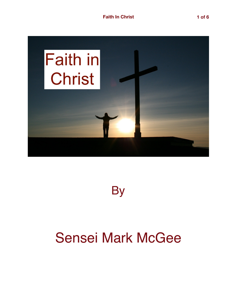

**By** 

## Sensei Mark McGee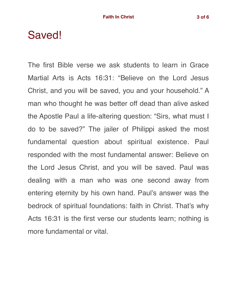## Saved!

The first Bible verse we ask students to learn in Grace Martial Arts is Acts 16:31: "Believe on the Lord Jesus Christ, and you will be saved, you and your household." A man who thought he was better off dead than alive asked the Apostle Paul a life-altering question: "Sirs, what must I do to be saved?" The jailer of Philippi asked the most fundamental question about spiritual existence. Paul responded with the most fundamental answer: Believe on the Lord Jesus Christ, and you will be saved. Paul was dealing with a man who was one second away from entering eternity by his own hand. Paul's answer was the bedrock of spiritual foundations: faith in Christ. That's why Acts 16:31 is the first verse our students learn; nothing is more fundamental or vital.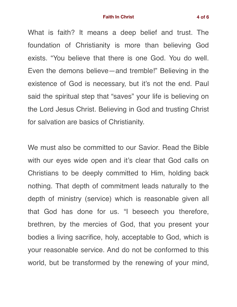What is faith? It means a deep belief and trust. The foundation of Christianity is more than believing God exists. "You believe that there is one God. You do well. Even the demons believe—and tremble!" Believing in the existence of God is necessary, but it's not the end. Paul said the spiritual step that "saves" your life is believing on the Lord Jesus Christ. Believing in God and trusting Christ for salvation are basics of Christianity.

We must also be committed to our Savior. Read the Bible with our eyes wide open and it's clear that God calls on Christians to be deeply committed to Him, holding back nothing. That depth of commitment leads naturally to the depth of ministry (service) which is reasonable given all that God has done for us. "I beseech you therefore, brethren, by the mercies of God, that you present your bodies a living sacrifice, holy, acceptable to God, which is your reasonable service. And do not be conformed to this world, but be transformed by the renewing of your mind,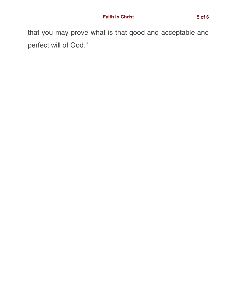that you may prove what is that good and acceptable and perfect will of God."